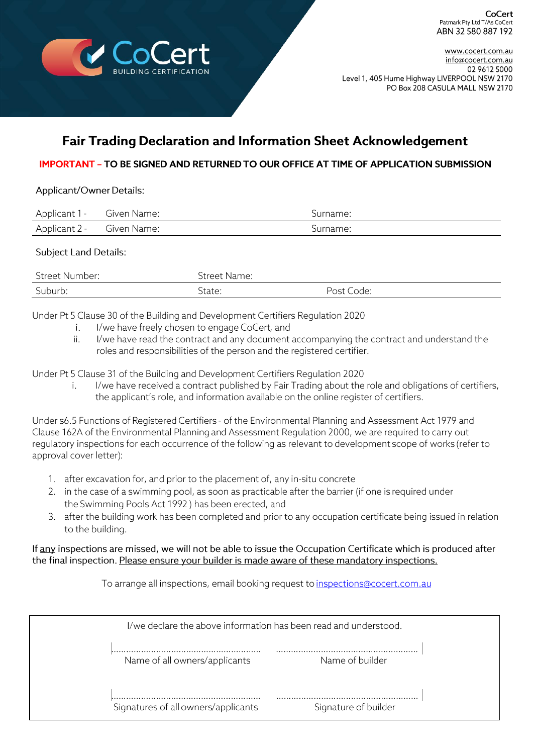

www.cocert.com.au info@cocert.com.au 02 9612 5000 Level 1, 405 Hume Highway LIVERPOOL NSW 2170 PO Box 208 CASULA MALL NSW 2170

# **Fair Trading Declaration and Information Sheet Acknowledgement**

## **IMPORTANT - TO BE SIGNED AND RETURNED TO OUR OFFICE AT TIME OF APPLICATION SUBMISSION**

### Applicant/Owner Details:

| Applicant 1 - Given Name: | Surname: |
|---------------------------|----------|
| Applicant 2 - Given Name: | Surname: |

## **Subject Land Details:**

| Street Number: | Street Name: |            |
|----------------|--------------|------------|
| Suburb:        | State:       | Post Code: |

Under Pt 5 Clause 30 of the Building and Development Certifiers Regulation 2020

- $\mathbf{i}$ . I/we have freely chosen to engage CoCert, and
- I/we have read the contract and any document accompanying the contract and understand the  $ii.$ roles and responsibilities of the person and the registered certifier.

Under Pt 5 Clause 31 of the Building and Development Certifiers Regulation 2020

I/we have received a contract published by Fair Trading about the role and obligations of certifiers, i. the applicant's role, and information available on the online register of certifiers.

Under s6.5 Functions of Registered Certifiers - of the Environmental Planning and Assessment Act 1979 and Clause 162A of the Environmental Planning and Assessment Regulation 2000, we are required to carry out requlatory inspections for each occurrence of the following as relevant to development scope of works (refer to approval cover letter):

- 1. after excavation for, and prior to the placement of, any in-situ concrete
- 2. in the case of a swimming pool, as soon as practicable after the barrier (if one is required under the Swimming Pools Act 1992) has been erected, and
- 3. after the building work has been completed and prior to any occupation certificate being issued in relation to the building.

### If any inspections are missed, we will not be able to issue the Occupation Certificate which is produced after the final inspection. Please ensure your builder is made aware of these mandatory inspections.

To arrange all inspections, email booking request to inspections@cocert.com.au

| I/we declare the above information has been read and understood. |  |  |  |
|------------------------------------------------------------------|--|--|--|
| Name of all owners/applicants<br>Name of builder                 |  |  |  |
| Signature of builder<br>Signatures of all owners/applicants      |  |  |  |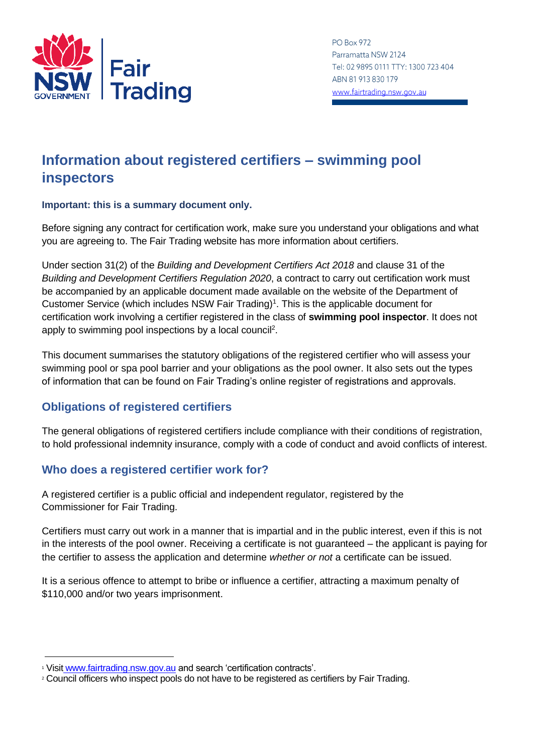

**PO Box 972** Parramatta NSW 2124 Tel: 02 9895 0111 TTY: 1300 723 404 ABN 81 913 830 179 www.fairtrading.nsw.gov.au

# **Information about registered certifiers – swimming pool inspectors**

### **Important: this is a summary document only.**

Before signing any contract for certification work, make sure you understand your obligations and what you are agreeing to. The Fair Trading website has more information about certifiers.

Under section 31(2) of the *Building and Development Certifiers Act 2018* and clause 31 of the *Building and Development Certifiers Regulation 2020*, a contract to carry out certification work must be accompanied by an applicable document made available on the website of the Department of Customer Service (which includes NSW Fair Trading)<sup>1</sup>. This is the applicable document for certification work involving a certifier registered in the class of **swimming pool inspector**. It does not apply to swimming pool inspections by a local council<sup>2</sup>.

This document summarises the statutory obligations of the registered certifier who will assess your swimming pool or spa pool barrier and your obligations as the pool owner. It also sets out the types of information that can be found on Fair Trading's online register of registrations and approvals.

## **Obligations of registered certifiers**

The general obligations of registered certifiers include compliance with their conditions of registration, to hold professional indemnity insurance, comply with a code of conduct and avoid conflicts of interest.

# **Who does a registered certifier work for?**

A registered certifier is a public official and independent regulator, registered by the Commissioner for Fair Trading.

Certifiers must carry out work in a manner that is impartial and in the public interest, even if this is not in the interests of the pool owner. Receiving a certificate is not guaranteed – the applicant is paying for the certifier to assess the application and determine *whether or not* a certificate can be issued.

It is a serious offence to attempt to bribe or influence a certifier, attracting a maximum penalty of \$110,000 and/or two years imprisonment.

<sup>1</sup> Visit [www.fairtrading.nsw.gov.au](http://www.fairtrading.nsw.gov.au/) and search 'certification contracts'.

<sup>&</sup>lt;sup>2</sup> Council officers who inspect pools do not have to be registered as certifiers by Fair Trading.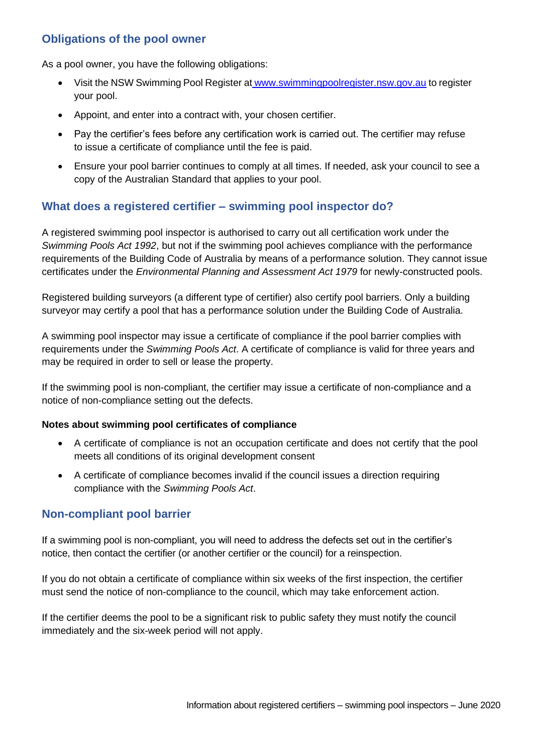# **Obligations of the pool owner**

As a pool owner, you have the following obligations:

- Visit the NSW Swimming Pool Register at [www.swimmingpoolregister.nsw.gov.au](http://www.swimmingpoolregister.nsw.gov.au/) to register your pool.
- Appoint, and enter into a contract with, your chosen certifier.
- Pay the certifier's fees before any certification work is carried out. The certifier may refuse to issue a certificate of compliance until the fee is paid.
- Ensure your pool barrier continues to comply at all times. If needed, ask your council to see a copy of the Australian Standard that applies to your pool.

# **What does a registered certifier – swimming pool inspector do?**

A registered swimming pool inspector is authorised to carry out all certification work under the *Swimming Pools Act 1992*, but not if the swimming pool achieves compliance with the performance requirements of the Building Code of Australia by means of a performance solution. They cannot issue certificates under the *Environmental Planning and Assessment Act 1979* for newly-constructed pools.

Registered building surveyors (a different type of certifier) also certify pool barriers. Only a building surveyor may certify a pool that has a performance solution under the Building Code of Australia.

A swimming pool inspector may issue a certificate of compliance if the pool barrier complies with requirements under the *Swimming Pools Act*. A certificate of compliance is valid for three years and may be required in order to sell or lease the property.

If the swimming pool is non-compliant, the certifier may issue a certificate of non-compliance and a notice of non-compliance setting out the defects.

## **Notes about swimming pool certificates of compliance**

- A certificate of compliance is not an occupation certificate and does not certify that the pool meets all conditions of its original development consent
- A certificate of compliance becomes invalid if the council issues a direction requiring compliance with the *Swimming Pools Act*.

## **Non-compliant pool barrier**

If a swimming pool is non-compliant, you will need to address the defects set out in the certifier's notice, then contact the certifier (or another certifier or the council) for a reinspection.

If you do not obtain a certificate of compliance within six weeks of the first inspection, the certifier must send the notice of non-compliance to the council, which may take enforcement action.

If the certifier deems the pool to be a significant risk to public safety they must notify the council immediately and the six-week period will not apply.